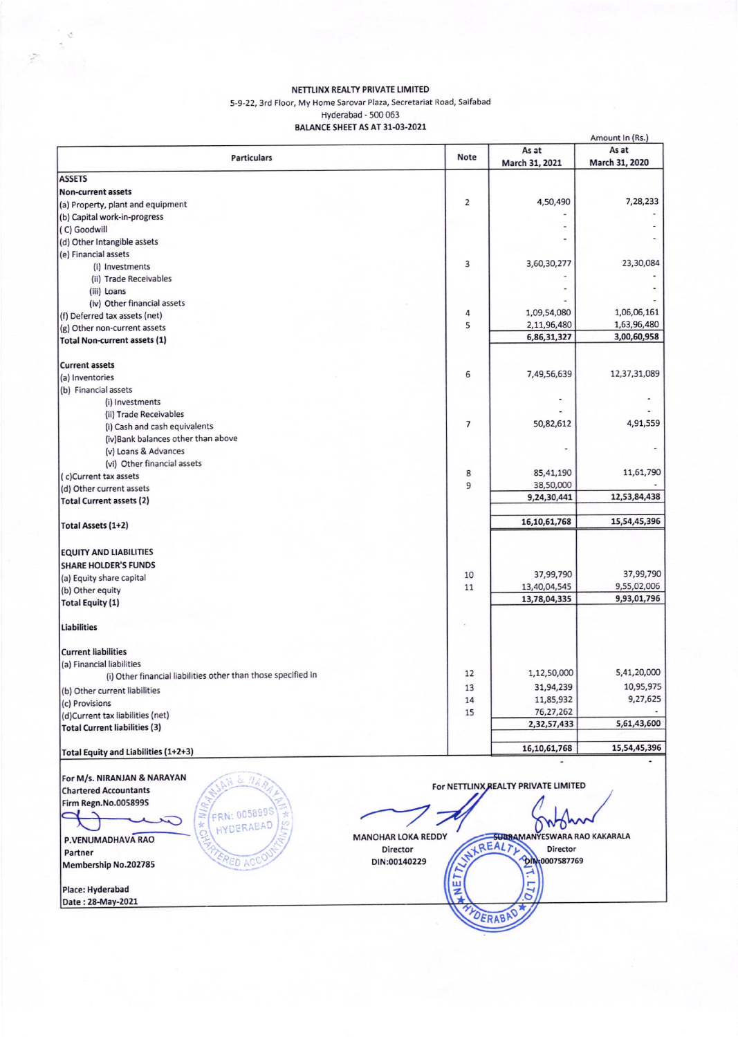## NETTLINX REALTY PRIVATE LIMITED

5-9-22, 3rd Floor, My Home Sarovar Plaza, Secretariat Road, Saifabad

Hyderabad - 500 063<br>BALANCE SHEET AS AT 31-03-2021

| <b>Particulars</b>                                            | <b>Note</b>    | As at                               | As at          |
|---------------------------------------------------------------|----------------|-------------------------------------|----------------|
|                                                               |                | March 31, 2021                      | March 31, 2020 |
| <b>ASSETS</b>                                                 |                |                                     |                |
| Non-current assets                                            | $\overline{2}$ |                                     | 7,28,233       |
| (a) Property, plant and equipment                             |                | 4,50,490                            |                |
| (b) Capital work-in-progress                                  |                |                                     |                |
| (C) Goodwill                                                  |                |                                     |                |
| (d) Other Intangible assets                                   |                |                                     |                |
| (e) Financial assets                                          |                |                                     | 23,30,084      |
| (i) Investments                                               | 3              | 3,60,30,277                         |                |
| (ii) Trade Receivables                                        |                |                                     |                |
| (iii) Loans                                                   |                |                                     |                |
| (iv) Other financial assets                                   |                | 1,09,54,080                         | 1,06,06,161    |
| (f) Deferred tax assets (net)                                 | 4<br>5         | 2,11,96,480                         | 1,63,96,480    |
| (g) Other non-current assets                                  |                | 6,86,31,327                         | 3,00,60,958    |
| <b>Total Non-current assets (1)</b>                           |                |                                     |                |
| <b>Current assets</b>                                         |                |                                     |                |
| (a) Inventories                                               | 6              | 7,49,56,639                         | 12,37,31,089   |
| (b) Financial assets                                          |                |                                     |                |
| (i) Investments                                               |                |                                     |                |
| (ii) Trade Receivables                                        |                |                                     |                |
| (i) Cash and cash equivalents                                 | $\overline{7}$ | 50,82,612                           | 4,91,559       |
| (iv)Bank balances other than above                            |                |                                     |                |
| (v) Loans & Advances                                          |                |                                     |                |
| (vi) Other financial assets                                   |                |                                     |                |
| (c)Current tax assets                                         | 8              | 85,41,190                           | 11,61,790      |
| (d) Other current assets                                      | 9              | 38,50,000                           |                |
| <b>Total Current assets (2)</b>                               |                | 9,24,30,441                         | 12,53,84,438   |
|                                                               |                |                                     | 15,54,45,396   |
| <b>Total Assets (1+2)</b>                                     |                | 16,10,61,768                        |                |
| <b>EQUITY AND LIABILITIES</b>                                 |                |                                     |                |
| <b>SHARE HOLDER'S FUNDS</b>                                   |                |                                     |                |
| (a) Equity share capital                                      | 10             | 37,99,790                           | 37,99,790      |
| (b) Other equity                                              | 11             | 13,40,04,545                        | 9,55,02,006    |
| <b>Total Equity (1)</b>                                       |                | 13,78,04,335                        | 9,93,01,796    |
|                                                               |                |                                     |                |
| <b>Liabilities</b>                                            |                |                                     |                |
| <b>Current liabilities</b>                                    |                |                                     |                |
| (a) Financial liabilities                                     |                |                                     |                |
| (i) Other financial liabilities other than those specified in | 12             | 1,12,50,000                         | 5,41,20,000    |
| (b) Other current liabilities                                 | 13             | 31,94,239                           | 10,95,975      |
| (c) Provisions                                                | 14             | 11,85,932                           | 9,27,625       |
| (d)Current tax liabilities (net)                              | 15             | 76,27,262                           |                |
| <b>Total Current liabilities (3)</b>                          |                | 2,32,57,433                         | 5,61,43,600    |
| Total Equity and Liabilities (1+2+3)                          |                | 16,10,61,768                        | 15,54,45,396   |
|                                                               |                |                                     |                |
| For M/s. NIRANJAN & NARAYAN<br>UAR                            |                |                                     |                |
| <b>Chartered Accountants</b>                                  |                | For NETTLINX REALTY PRIVATE LIMITED |                |
| <b>Firm Regn.No.005899S</b>                                   |                |                                     |                |
| FRN: 005899S                                                  |                |                                     |                |
| $\star$<br>HYDERABAD                                          |                |                                     |                |
| <b>MANOHAR LOKA REDDY</b><br>P.VENUMADHAVA RAO                |                | <b>SUBRAMANYESWARA RAO KAKARALA</b> |                |
| Director<br>Partner                                           |                | NXREALT)<br>Director                |                |
|                                                               |                | <b>DIN:0007587769</b>               |                |
| ERED ACC<br>DIN:00140229<br>Membership No.202785              |                |                                     |                |
|                                                               | ш              |                                     |                |
| Place: Hyderabad<br>Date: 28-May-2021                         | z              | LT <sub>O</sub>                     |                |